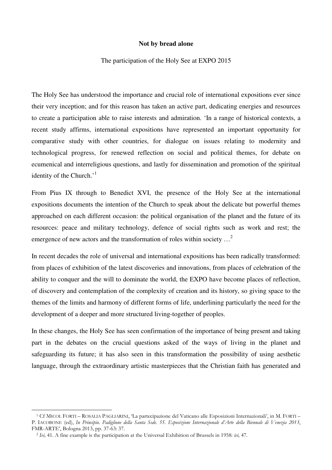## **Not by bread alone**

#### The participation of the Holy See at EXPO 2015

The Holy See has understood the importance and crucial role of international expositions ever since their very inception; and for this reason has taken an active part, dedicating energies and resources to create a participation able to raise interests and admiration. 'In a range of historical contexts, a recent study affirms, international expositions have represented an important opportunity for comparative study with other countries, for dialogue on issues relating to modernity and technological progress, for renewed reflection on social and political themes, for debate on ecumenical and interreligious questions, and lastly for dissemination and promotion of the spiritual identity of the Church. $1$ <sup>1</sup>

From Pius IX through to Benedict XVI, the presence of the Holy See at the international expositions documents the intention of the Church to speak about the delicate but powerful themes approached on each different occasion: the political organisation of the planet and the future of its resources: peace and military technology, defence of social rights such as work and rest; the emergence of new actors and the transformation of roles within society ...<sup>2</sup>

In recent decades the role of universal and international expositions has been radically transformed: from places of exhibition of the latest discoveries and innovations, from places of celebration of the ability to conquer and the will to dominate the world, the EXPO have become places of reflection, of discovery and contemplation of the complexity of creation and its history, so giving space to the themes of the limits and harmony of different forms of life, underlining particularly the need for the development of a deeper and more structured living-together of peoples.

In these changes, the Holy See has seen confirmation of the importance of being present and taking part in the debates on the crucial questions asked of the ways of living in the planet and safeguarding its future; it has also seen in this transformation the possibility of using aesthetic language, through the extraordinary artistic masterpieces that the Christian faith has generated and

l

<sup>1</sup> Cf MICOL FORTI – ROSALIA PAGLIARINI, 'La partecipazione del Vaticano alle Esposizioni Internazionali', in M. FORTI – P. IACOBONE (ed), *In Principio. Padiglione della Santa Sede. 55. Esposizione Internazionale d'Arte della Biennale di Venezia 2013*, FMR-ARTE', Bologna 2013, pp. 37-63: 37.

<sup>2</sup> *Ivi,* 41. A fine example is the participation at the Universal Exhibition of Brussels in 1958: *ivi,* 47.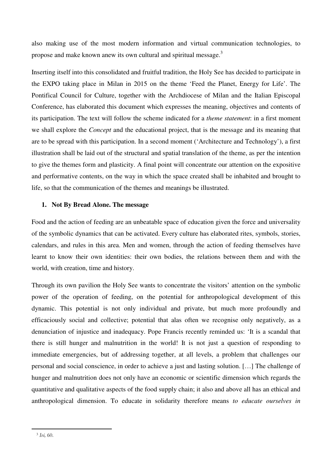also making use of the most modern information and virtual communication technologies, to propose and make known anew its own cultural and spiritual message.<sup>3</sup>

Inserting itself into this consolidated and fruitful tradition, the Holy See has decided to participate in the EXPO taking place in Milan in 2015 on the theme 'Feed the Planet, Energy for Life'. The Pontifical Council for Culture, together with the Archdiocese of Milan and the Italian Episcopal Conference, has elaborated this document which expresses the meaning, objectives and contents of its participation. The text will follow the scheme indicated for a *theme statement*: in a first moment we shall explore the *Concept* and the educational project, that is the message and its meaning that are to be spread with this participation. In a second moment ('Architecture and Technology'), a first illustration shall be laid out of the structural and spatial translation of the theme, as per the intention to give the themes form and plasticity. A final point will concentrate our attention on the expositive and performative contents, on the way in which the space created shall be inhabited and brought to life, so that the communication of the themes and meanings be illustrated.

# **1. Not By Bread Alone. The message**

Food and the action of feeding are an unbeatable space of education given the force and universality of the symbolic dynamics that can be activated. Every culture has elaborated rites, symbols, stories, calendars, and rules in this area. Men and women, through the action of feeding themselves have learnt to know their own identities: their own bodies, the relations between them and with the world, with creation, time and history.

Through its own pavilion the Holy See wants to concentrate the visitors' attention on the symbolic power of the operation of feeding, on the potential for anthropological development of this dynamic. This potential is not only individual and private, but much more profoundly and efficaciously social and collective; potential that alas often we recognise only negatively, as a denunciation of injustice and inadequacy. Pope Francis recently reminded us: 'It is a scandal that there is still hunger and malnutrition in the world! It is not just a question of responding to immediate emergencies, but of addressing together, at all levels, a problem that challenges our personal and social conscience, in order to achieve a just and lasting solution. […] The challenge of hunger and malnutrition does not only have an economic or scientific dimension which regards the quantitative and qualitative aspects of the food supply chain; it also and above all has an ethical and anthropological dimension. To educate in solidarity therefore means *to educate ourselves in* 

l

<sup>3</sup> *Ivi,* 60.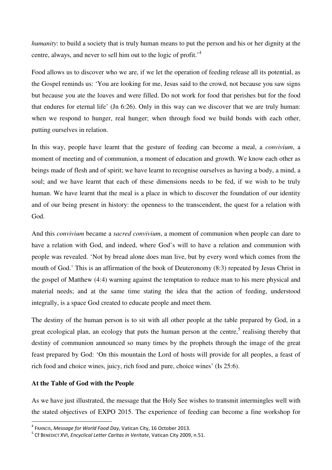*humanity*: to build a society that is truly human means to put the person and his or her dignity at the centre, always, and never to sell him out to the logic of profit.'<sup>4</sup>

Food allows us to discover who we are, if we let the operation of feeding release all its potential, as the Gospel reminds us: 'You are looking for me, Jesus said to the crowd, not because you saw signs but because you ate the loaves and were filled. Do not work for food that perishes but for the food that endures for eternal life' (Jn 6:26). Only in this way can we discover that we are truly human: when we respond to hunger, real hunger; when through food we build bonds with each other, putting ourselves in relation.

In this way, people have learnt that the gesture of feeding can become a meal, a *convivium*, a moment of meeting and of communion, a moment of education and growth. We know each other as beings made of flesh and of spirit; we have learnt to recognise ourselves as having a body, a mind, a soul; and we have learnt that each of these dimensions needs to be fed, if we wish to be truly human. We have learnt that the meal is a place in which to discover the foundation of our identity and of our being present in history: the openness to the transcendent, the quest for a relation with God.

And this *convivium* became a *sacred convivium*, a moment of communion when people can dare to have a relation with God, and indeed, where God's will to have a relation and communion with people was revealed. 'Not by bread alone does man live, but by every word which comes from the mouth of God.' This is an affirmation of the book of Deuteronomy (8:3) repeated by Jesus Christ in the gospel of Matthew (4:4) warning against the temptation to reduce man to his mere physical and material needs; and at the same time stating the idea that the action of feeding, understood integrally, is a space God created to educate people and meet them.

The destiny of the human person is to sit with all other people at the table prepared by God, in a great ecological plan, an ecology that puts the human person at the centre,<sup>5</sup> realising thereby that destiny of communion announced so many times by the prophets through the image of the great feast prepared by God: 'On this mountain the Lord of hosts will provide for all peoples, a feast of rich food and choice wines, juicy, rich food and pure, choice wines' (Is 25:6).

# **At the Table of God with the People**

l

As we have just illustrated, the message that the Holy See wishes to transmit intermingles well with the stated objectives of EXPO 2015. The experience of feeding can become a fine workshop for

<sup>4</sup> FRANCIS, *Message for World Food Day*, Vatican City, 16 October 2013.

<sup>5</sup> Cf BENEDICT XVI, *Encyclical Letter Caritas in Veritate*, Vatican City 2009, n.51.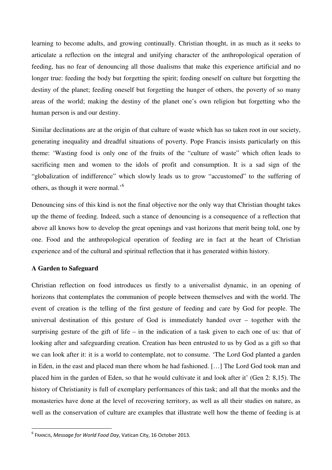learning to become adults, and growing continually. Christian thought, in as much as it seeks to articulate a reflection on the integral and unifying character of the anthropological operation of feeding, has no fear of denouncing all those dualisms that make this experience artificial and no longer true: feeding the body but forgetting the spirit; feeding oneself on culture but forgetting the destiny of the planet; feeding oneself but forgetting the hunger of others, the poverty of so many areas of the world; making the destiny of the planet one's own religion but forgetting who the human person is and our destiny.

Similar declinations are at the origin of that culture of waste which has so taken root in our society, generating inequality and dreadful situations of poverty. Pope Francis insists particularly on this theme: 'Wasting food is only one of the fruits of the "culture of waste" which often leads to sacrificing men and women to the idols of profit and consumption. It is a sad sign of the "globalization of indifference" which slowly leads us to grow "accustomed" to the suffering of others, as though it were normal.'<sup>6</sup>

Denouncing sins of this kind is not the final objective nor the only way that Christian thought takes up the theme of feeding. Indeed, such a stance of denouncing is a consequence of a reflection that above all knows how to develop the great openings and vast horizons that merit being told, one by one. Food and the anthropological operation of feeding are in fact at the heart of Christian experience and of the cultural and spiritual reflection that it has generated within history.

# **A Garden to Safeguard**

 $\overline{a}$ 

Christian reflection on food introduces us firstly to a universalist dynamic, in an opening of horizons that contemplates the communion of people between themselves and with the world. The event of creation is the telling of the first gesture of feeding and care by God for people. The universal destination of this gesture of God is immediately handed over – together with the surprising gesture of the gift of life – in the indication of a task given to each one of us: that of looking after and safeguarding creation. Creation has been entrusted to us by God as a gift so that we can look after it: it is a world to contemplate, not to consume. 'The Lord God planted a garden in Eden, in the east and placed man there whom he had fashioned. […] The Lord God took man and placed him in the garden of Eden, so that he would cultivate it and look after it' (Gen 2: 8,15). The history of Christianity is full of exemplary performances of this task; and all that the monks and the monasteries have done at the level of recovering territory, as well as all their studies on nature, as well as the conservation of culture are examples that illustrate well how the theme of feeding is at

<sup>6</sup> FRANCIS, *Message for World Food Day*, Vatican City, 16 October 2013.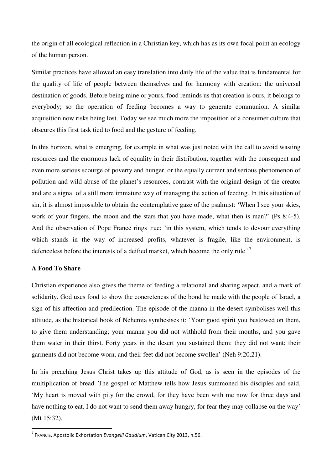the origin of all ecological reflection in a Christian key, which has as its own focal point an ecology of the human person.

Similar practices have allowed an easy translation into daily life of the value that is fundamental for the quality of life of people between themselves and for harmony with creation: the universal destination of goods. Before being mine or yours, food reminds us that creation is ours, it belongs to everybody; so the operation of feeding becomes a way to generate communion. A similar acquisition now risks being lost. Today we see much more the imposition of a consumer culture that obscures this first task tied to food and the gesture of feeding.

In this horizon, what is emerging, for example in what was just noted with the call to avoid wasting resources and the enormous lack of equality in their distribution, together with the consequent and even more serious scourge of poverty and hunger, or the equally current and serious phenomenon of pollution and wild abuse of the planet's resources, contrast with the original design of the creator and are a signal of a still more immature way of managing the action of feeding. In this situation of sin, it is almost impossible to obtain the contemplative gaze of the psalmist: 'When I see your skies, work of your fingers, the moon and the stars that you have made, what then is man?' (Ps 8:4-5). And the observation of Pope France rings true: 'in this system, which tends to devour everything which stands in the way of increased profits, whatever is fragile, like the environment, is defenceless before the interests of a deified market, which become the only rule.<sup>7</sup>

# **A Food To Share**

 $\overline{a}$ 

Christian experience also gives the theme of feeding a relational and sharing aspect, and a mark of solidarity. God uses food to show the concreteness of the bond he made with the people of Israel, a sign of his affection and predilection. The episode of the manna in the desert symbolises well this attitude, as the historical book of Nehemia synthesises it: 'Your good spirit you bestowed on them, to give them understanding; your manna you did not withhold from their mouths, and you gave them water in their thirst. Forty years in the desert you sustained them: they did not want; their garments did not become worn, and their feet did not become swollen' (Neh 9:20,21).

In his preaching Jesus Christ takes up this attitude of God, as is seen in the episodes of the multiplication of bread. The gospel of Matthew tells how Jesus summoned his disciples and said, 'My heart is moved with pity for the crowd, for they have been with me now for three days and have nothing to eat. I do not want to send them away hungry, for fear they may collapse on the way' (Mt 15:32).

<sup>7</sup> FRANCIS, Apostolic Exhortation *Evangelii Gaudium*, Vatican City 2013, n.56.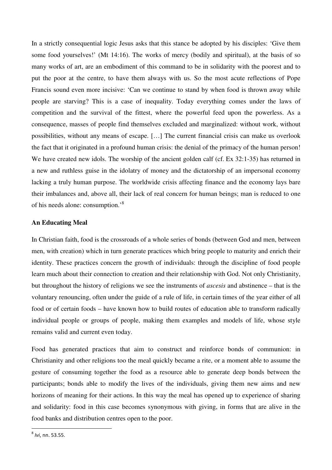In a strictly consequential logic Jesus asks that this stance be adopted by his disciples: 'Give them some food yourselves!' (Mt 14:16). The works of mercy (bodily and spiritual), at the basis of so many works of art, are an embodiment of this command to be in solidarity with the poorest and to put the poor at the centre, to have them always with us. So the most acute reflections of Pope Francis sound even more incisive: 'Can we continue to stand by when food is thrown away while people are starving? This is a case of inequality. Today everything comes under the laws of competition and the survival of the fittest, where the powerful feed upon the powerless. As a consequence, masses of people find themselves excluded and marginalized: without work, without possibilities, without any means of escape. […] The current financial crisis can make us overlook the fact that it originated in a profound human crisis: the denial of the primacy of the human person! We have created new idols. The worship of the ancient golden calf (cf. Ex 32:1-35) has returned in a new and ruthless guise in the idolatry of money and the dictatorship of an impersonal economy lacking a truly human purpose. The worldwide crisis affecting finance and the economy lays bare their imbalances and, above all, their lack of real concern for human beings; man is reduced to one of his needs alone: consumption.'<sup>8</sup>

## **An Educating Meal**

In Christian faith, food is the crossroads of a whole series of bonds (between God and men, between men, with creation) which in turn generate practices which bring people to maturity and enrich their identity. These practices concern the growth of individuals: through the discipline of food people learn much about their connection to creation and their relationship with God. Not only Christianity, but throughout the history of religions we see the instruments of *ascesis* and abstinence – that is the voluntary renouncing, often under the guide of a rule of life, in certain times of the year either of all food or of certain foods – have known how to build routes of education able to transform radically individual people or groups of people, making them examples and models of life, whose style remains valid and current even today.

Food has generated practices that aim to construct and reinforce bonds of communion: in Christianity and other religions too the meal quickly became a rite, or a moment able to assume the gesture of consuming together the food as a resource able to generate deep bonds between the participants; bonds able to modify the lives of the individuals, giving them new aims and new horizons of meaning for their actions. In this way the meal has opened up to experience of sharing and solidarity: food in this case becomes synonymous with giving, in forms that are alive in the food banks and distribution centres open to the poor.

 $\overline{a}$ 

<sup>8</sup> *Ivi*, nn. 53.55.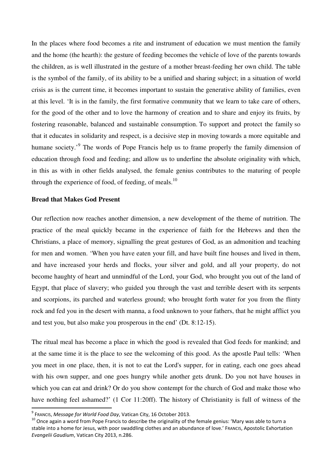In the places where food becomes a rite and instrument of education we must mention the family and the home (the hearth): the gesture of feeding becomes the vehicle of love of the parents towards the children, as is well illustrated in the gesture of a mother breast-feeding her own child. The table is the symbol of the family, of its ability to be a unified and sharing subject; in a situation of world crisis as is the current time, it becomes important to sustain the generative ability of families, even at this level. 'It is in the family, the first formative community that we learn to take care of others, for the good of the other and to love the harmony of creation and to share and enjoy its fruits, by fostering reasonable, balanced and sustainable consumption. To support and protect the family so that it educates in solidarity and respect, is a decisive step in moving towards a more equitable and humane society.<sup>'9</sup> The words of Pope Francis help us to frame properly the family dimension of education through food and feeding; and allow us to underline the absolute originality with which, in this as with in other fields analysed, the female genius contributes to the maturing of people through the experience of food, of feeding, of meals.<sup>10</sup>

## **Bread that Makes God Present**

Our reflection now reaches another dimension, a new development of the theme of nutrition. The practice of the meal quickly became in the experience of faith for the Hebrews and then the Christians, a place of memory, signalling the great gestures of God, as an admonition and teaching for men and women. 'When you have eaten your fill, and have built fine houses and lived in them, and have increased your herds and flocks, your silver and gold, and all your property, do not become haughty of heart and unmindful of the Lord, your God, who brought you out of the land of Egypt, that place of slavery; who guided you through the vast and terrible desert with its serpents and scorpions, its parched and waterless ground; who brought forth water for you from the flinty rock and fed you in the desert with manna, a food unknown to your fathers, that he might afflict you and test you, but also make you prosperous in the end' (Dt. 8:12-15).

The ritual meal has become a place in which the good is revealed that God feeds for mankind; and at the same time it is the place to see the welcoming of this good. As the apostle Paul tells: 'When you meet in one place, then, it is not to eat the Lord's supper, for in eating, each one goes ahead with his own supper, and one goes hungry while another gets drunk. Do you not have houses in which you can eat and drink? Or do you show contempt for the church of God and make those who have nothing feel ashamed?' (1 Cor 11:20ff). The history of Christianity is full of witness of the

l

<sup>9</sup> FRANCIS, *Message for World Food Day*, Vatican City, 16 October 2013.

 $10$  Once again a word from Pope Francis to describe the originality of the female genius: 'Mary was able to turn a stable into a home for Jesus, with poor swaddling clothes and an abundance of love.' FRANCIS, Apostolic Exhortation *Evangelii Gaudium*, Vatican City 2013, n.286.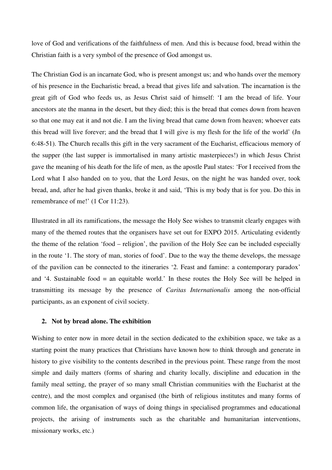love of God and verifications of the faithfulness of men. And this is because food, bread within the Christian faith is a very symbol of the presence of God amongst us.

The Christian God is an incarnate God, who is present amongst us; and who hands over the memory of his presence in the Eucharistic bread, a bread that gives life and salvation. The incarnation is the great gift of God who feeds us, as Jesus Christ said of himself: 'I am the bread of life. Your ancestors ate the manna in the desert, but they died; this is the bread that comes down from heaven so that one may eat it and not die. I am the living bread that came down from heaven; whoever eats this bread will live forever; and the bread that I will give is my flesh for the life of the world' (Jn 6:48-51). The Church recalls this gift in the very sacrament of the Eucharist, efficacious memory of the supper (the last supper is immortalised in many artistic masterpieces!) in which Jesus Christ gave the meaning of his death for the life of men, as the apostle Paul states: 'For I received from the Lord what I also handed on to you, that the Lord Jesus, on the night he was handed over, took bread, and, after he had given thanks, broke it and said, 'This is my body that is for you. Do this in remembrance of me!' (1 Cor 11:23).

Illustrated in all its ramifications, the message the Holy See wishes to transmit clearly engages with many of the themed routes that the organisers have set out for EXPO 2015. Articulating evidently the theme of the relation 'food – religion', the pavilion of the Holy See can be included especially in the route '1. The story of man, stories of food'. Due to the way the theme develops, the message of the pavilion can be connected to the itineraries '2. Feast and famine: a contemporary paradox' and '4. Sustainable food = an equitable world.' In these routes the Holy See will be helped in transmitting its message by the presence of *Caritas Internationalis* among the non-official participants, as an exponent of civil society.

#### **2. Not by bread alone. The exhibition**

Wishing to enter now in more detail in the section dedicated to the exhibition space, we take as a starting point the many practices that Christians have known how to think through and generate in history to give visibility to the contents described in the previous point. These range from the most simple and daily matters (forms of sharing and charity locally, discipline and education in the family meal setting, the prayer of so many small Christian communities with the Eucharist at the centre), and the most complex and organised (the birth of religious institutes and many forms of common life, the organisation of ways of doing things in specialised programmes and educational projects, the arising of instruments such as the charitable and humanitarian interventions, missionary works, etc.)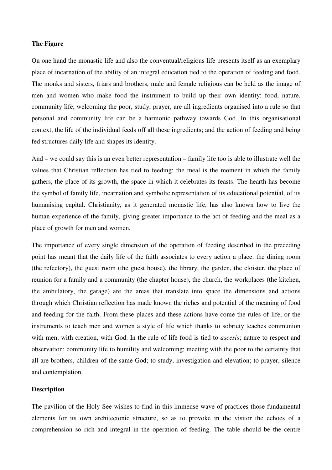### **The Figure**

On one hand the monastic life and also the conventual/religious life presents itself as an exemplary place of incarnation of the ability of an integral education tied to the operation of feeding and food. The monks and sisters, friars and brothers, male and female religious can be held as the image of men and women who make food the instrument to build up their own identity: food, nature, community life, welcoming the poor, study, prayer, are all ingredients organised into a rule so that personal and community life can be a harmonic pathway towards God. In this organisational context, the life of the individual feeds off all these ingredients; and the action of feeding and being fed structures daily life and shapes its identity.

And – we could say this is an even better representation – family life too is able to illustrate well the values that Christian reflection has tied to feeding: the meal is the moment in which the family gathers, the place of its growth, the space in which it celebrates its feasts. The hearth has become the symbol of family life, incarnation and symbolic representation of its educational potential, of its humanising capital. Christianity, as it generated monastic life, has also known how to live the human experience of the family, giving greater importance to the act of feeding and the meal as a place of growth for men and women.

The importance of every single dimension of the operation of feeding described in the preceding point has meant that the daily life of the faith associates to every action a place: the dining room (the refectory), the guest room (the guest house), the library, the garden, the cloister, the place of reunion for a family and a community (the chapter house), the church, the workplaces (the kitchen, the ambulatory, the garage) are the areas that translate into space the dimensions and actions through which Christian reflection has made known the riches and potential of the meaning of food and feeding for the faith. From these places and these actions have come the rules of life, or the instruments to teach men and women a style of life which thanks to sobriety teaches communion with men, with creation, with God. In the rule of life food is tied to *ascesis*; nature to respect and observation; community life to humility and welcoming; meeting with the poor to the certainty that all are brothers, children of the same God; to study, investigation and elevation; to prayer, silence and contemplation.

## **Description**

The pavilion of the Holy See wishes to find in this immense wave of practices those fundamental elements for its own architectonic structure, so as to provoke in the visitor the echoes of a comprehension so rich and integral in the operation of feeding. The table should be the centre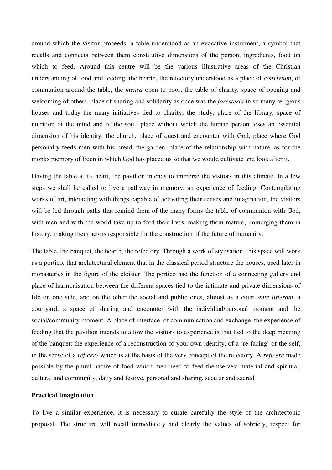around which the visitor proceeds: a table understood as an evocative instrument, a symbol that recalls and connects between them constitutive dimensions of the person, ingredients, food on which to feed. Around this centre will be the various illustrative areas of the Christian understanding of food and feeding: the hearth, the refectory understood as a place of *convivium*, of communion around the table, the *mensa* open to poor, the table of charity, space of opening and welcoming of others, place of sharing and solidarity as once was the *foresteria* in so many religious houses and today the many initiatives tied to charity; the study, place of the library, space of nutrition of the mind and of the soul, place without which the human person loses an essential dimension of his identity; the church, place of quest and encounter with God, place where God personally feeds men with his bread, the garden, place of the relationship with nature, as for the monks memory of Eden in which God has placed us so that we would cultivate and look after it.

Having the table at its heart, the pavilion intends to immerse the visitors in this climate. In a few steps we shall be called to live a pathway in memory, an experience of feeding. Contemplating works of art, interacting with things capable of activating their senses and imagination, the visitors will be led through paths that remind them of the many forms the table of communion with God, with men and with the world take up to feed their lives, making them mature, immerging them in history, making them actors responsible for the construction of the future of humanity.

The table, the banquet, the hearth, the refectory. Through a work of stylisation, this space will work as a portico, that architectural element that in the classical period structure the houses, used later in monasteries in the figure of the cloister. The portico had the function of a connecting gallery and place of harmonisation between the different spaces tied to the intimate and private dimensions of life on one side, and on the other the social and public ones, almost as a court *ante litteram*, a courtyard, a space of sharing and encounter with the individual/personal moment and the social/community moment. A place of interface, of communication and exchange, the experience of feeding that the pavilion intends to allow the visitors to experience is that tied to the deep meaning of the banquet: the experience of a reconstruction of your own identity, of a 're-facing' of the self, in the sense of a *reficere* which is at the basis of the very concept of the refectory. A *reficere* made possible by the plural nature of food which men need to feed themselves: material and spiritual, cultural and community, daily and festive, personal and sharing, secular and sacred.

## **Practical Imagination**

To live a similar experience, it is necessary to curate carefully the style of the architectonic proposal. The structure will recall immediately and clearly the values of sobriety, respect for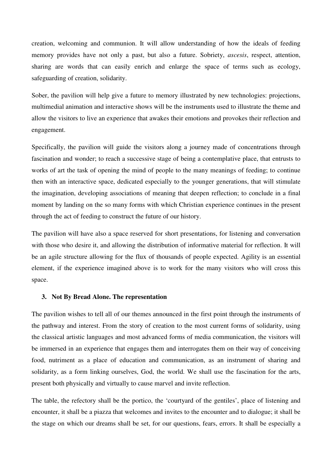creation, welcoming and communion. It will allow understanding of how the ideals of feeding memory provides have not only a past, but also a future. Sobriety, *ascesis*, respect, attention, sharing are words that can easily enrich and enlarge the space of terms such as ecology, safeguarding of creation, solidarity.

Sober, the pavilion will help give a future to memory illustrated by new technologies: projections, multimedial animation and interactive shows will be the instruments used to illustrate the theme and allow the visitors to live an experience that awakes their emotions and provokes their reflection and engagement.

Specifically, the pavilion will guide the visitors along a journey made of concentrations through fascination and wonder; to reach a successive stage of being a contemplative place, that entrusts to works of art the task of opening the mind of people to the many meanings of feeding; to continue then with an interactive space, dedicated especially to the younger generations, that will stimulate the imagination, developing associations of meaning that deepen reflection; to conclude in a final moment by landing on the so many forms with which Christian experience continues in the present through the act of feeding to construct the future of our history.

The pavilion will have also a space reserved for short presentations, for listening and conversation with those who desire it, and allowing the distribution of informative material for reflection. It will be an agile structure allowing for the flux of thousands of people expected. Agility is an essential element, if the experience imagined above is to work for the many visitors who will cross this space.

## **3. Not By Bread Alone. The representation**

The pavilion wishes to tell all of our themes announced in the first point through the instruments of the pathway and interest. From the story of creation to the most current forms of solidarity, using the classical artistic languages and most advanced forms of media communication, the visitors will be immersed in an experience that engages them and interrogates them on their way of conceiving food, nutriment as a place of education and communication, as an instrument of sharing and solidarity, as a form linking ourselves, God, the world. We shall use the fascination for the arts, present both physically and virtually to cause marvel and invite reflection.

The table, the refectory shall be the portico, the 'courtyard of the gentiles', place of listening and encounter, it shall be a piazza that welcomes and invites to the encounter and to dialogue; it shall be the stage on which our dreams shall be set, for our questions, fears, errors. It shall be especially a